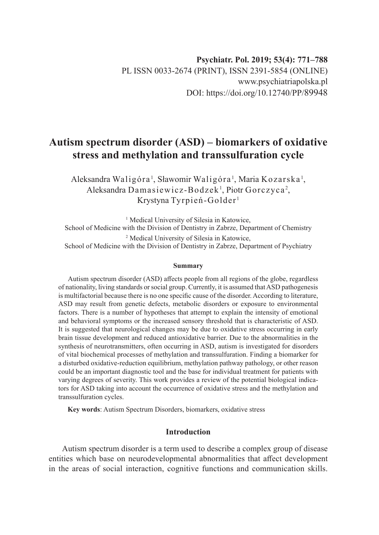# **Autism spectrum disorder (ASD) – biomarkers of oxidative stress and methylation and transsulfuration cycle**

Aleksandra Waligóra <sup>1</sup>, Sławomir Waligóra <sup>1</sup>, Maria Kozarska <sup>1</sup>, Aleksandra Damasiewicz-Bodzek<sup>1</sup>, Piotr Gorczyca<sup>2</sup>, Krystyna Tyrpień-Golder <sup>1</sup>

<sup>1</sup> Medical University of Silesia in Katowice, School of Medicine with the Division of Dentistry in Zabrze, Department of Chemistry 2 Medical University of Silesia in Katowice, School of Medicine with the Division of Dentistry in Zabrze, Department of Psychiatry

#### **Summary**

Autism spectrum disorder (ASD) affects people from all regions of the globe, regardless of nationality, living standards or social group. Currently, it is assumed that ASD pathogenesis is multifactorial because there is no one specific cause of the disorder. According to literature, ASD may result from genetic defects, metabolic disorders or exposure to environmental factors. There is a number of hypotheses that attempt to explain the intensity of emotional and behavioral symptoms or the increased sensory threshold that is characteristic of ASD. It is suggested that neurological changes may be due to oxidative stress occurring in early brain tissue development and reduced antioxidative barrier. Due to the abnormalities in the synthesis of neurotransmitters, often occurring in ASD, autism is investigated for disorders of vital biochemical processes of methylation and transsulfuration. Finding a biomarker for a disturbed oxidative-reduction equilibrium, methylation pathway pathology, or other reason could be an important diagnostic tool and the base for individual treatment for patients with varying degrees of severity. This work provides a review of the potential biological indicators for ASD taking into account the occurrence of oxidative stress and the methylation and transsulfuration cycles.

**Key words**: Autism Spectrum Disorders, biomarkers, oxidative stress

# **Introduction**

Autism spectrum disorder is a term used to describe a complex group of disease entities which base on neurodevelopmental abnormalities that affect development in the areas of social interaction, cognitive functions and communication skills.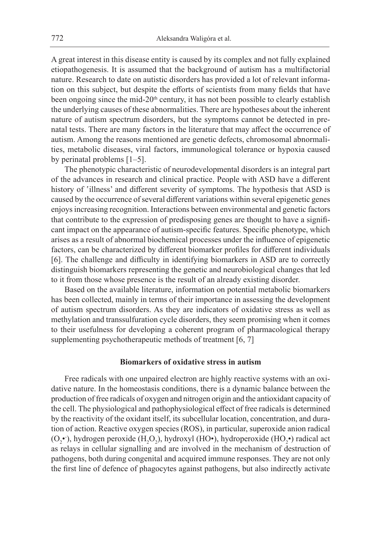A great interest in this disease entity is caused by its complex and not fully explained etiopathogenesis. It is assumed that the background of autism has a multifactorial nature. Research to date on autistic disorders has provided a lot of relevant information on this subject, but despite the efforts of scientists from many fields that have been ongoing since the mid-20<sup>th</sup> century, it has not been possible to clearly establish the underlying causes of these abnormalities. There are hypotheses about the inherent nature of autism spectrum disorders, but the symptoms cannot be detected in prenatal tests. There are many factors in the literature that may affect the occurrence of autism. Among the reasons mentioned are genetic defects, chromosomal abnormalities, metabolic diseases, viral factors, immunological tolerance or hypoxia caused by perinatal problems [1–5].

The phenotypic characteristic of neurodevelopmental disorders is an integral part of the advances in research and clinical practice. People with ASD have a different history of 'illness' and different severity of symptoms. The hypothesis that ASD is caused by the occurrence of several different variations within several epigenetic genes enjoys increasing recognition. Interactions between environmental and genetic factors that contribute to the expression of predisposing genes are thought to have a significant impact on the appearance of autism-specific features. Specific phenotype, which arises as a result of abnormal biochemical processes under the influence of epigenetic factors, can be characterized by different biomarker profiles for different individuals [6]. The challenge and difficulty in identifying biomarkers in ASD are to correctly distinguish biomarkers representing the genetic and neurobiological changes that led to it from those whose presence is the result of an already existing disorder.

Based on the available literature, information on potential metabolic biomarkers has been collected, mainly in terms of their importance in assessing the development of autism spectrum disorders. As they are indicators of oxidative stress as well as methylation and transsulfuration cycle disorders, they seem promising when it comes to their usefulness for developing a coherent program of pharmacological therapy supplementing psychotherapeutic methods of treatment [6, 7]

#### **Biomarkers of oxidative stress in autism**

Free radicals with one unpaired electron are highly reactive systems with an oxidative nature. In the homeostasis conditions, there is a dynamic balance between the production of free radicals of oxygen and nitrogen origin and the antioxidant capacity of the cell. The physiological and pathophysiological effect of free radicals is determined by the reactivity of the oxidant itself, its subcellular location, concentration, and duration of action. Reactive oxygen species (ROS), in particular, superoxide anion radical  $(O_2^{\bullet})$ , hydrogen peroxide  $(H_2O_2)$ , hydroxyl (HO $\bullet$ ), hydroperoxide (HO<sub>2</sub> $\bullet$ ) radical act as relays in cellular signalling and are involved in the mechanism of destruction of pathogens, both during congenital and acquired immune responses. They are not only the first line of defence of phagocytes against pathogens, but also indirectly activate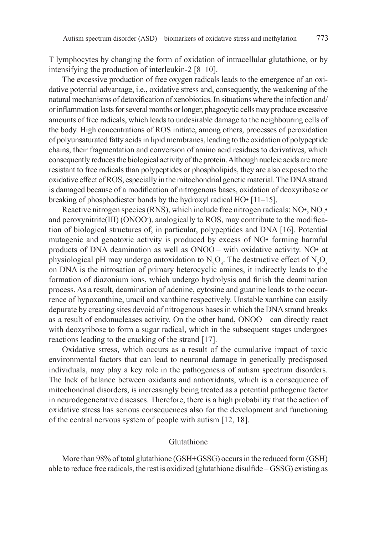T lymphocytes by changing the form of oxidation of intracellular glutathione, or by intensifying the production of interleukin-2 [8–10].

The excessive production of free oxygen radicals leads to the emergence of an oxidative potential advantage, i.e., oxidative stress and, consequently, the weakening of the natural mechanisms of detoxification of xenobiotics. In situations where the infection and/ or inflammation lasts for several months or longer, phagocytic cells may produce excessive amounts of free radicals, which leads to undesirable damage to the neighbouring cells of the body. High concentrations of ROS initiate, among others, processes of peroxidation of polyunsaturated fatty acids in lipid membranes, leading to the oxidation of polypeptide chains, their fragmentation and conversion of amino acid residues to derivatives, which consequently reduces the biological activity of the protein. Although nucleic acids are more resistant to free radicals than polypeptides or phospholipids, they are also exposed to the oxidative effect of ROS, especially in the mitochondrial genetic material. The DNA strand is damaged because of a modification of nitrogenous bases, oxidation of deoxyribose or breaking of phosphodiester bonds by the hydroxyl radical HO• [11–15].

Reactive nitrogen species (RNS), which include free nitrogen radicals: NO•, NO<sub>2</sub>• and peroxynitrite(III) (ONOO- ), analogically to ROS, may contribute to the modification of biological structures of, in particular, polypeptides and DNA [16]. Potential mutagenic and genotoxic activity is produced by excess of NO• forming harmful products of DNA deamination as well as ONOO – with oxidative activity. NO• at physiological pH may undergo autoxidation to  $N_2O_3$ . The destructive effect of  $N_2O_3$ on DNA is the nitrosation of primary heterocyclic amines, it indirectly leads to the formation of diazonium ions, which undergo hydrolysis and finish the deamination process. As a result, deamination of adenine, cytosine and guanine leads to the occurrence of hypoxanthine, uracil and xanthine respectively. Unstable xanthine can easily depurate by creating sites devoid of nitrogenous bases in which the DNA strand breaks as a result of endonucleases activity. On the other hand, ONOO – can directly react with deoxyribose to form a sugar radical, which in the subsequent stages undergoes reactions leading to the cracking of the strand [17].

Oxidative stress, which occurs as a result of the cumulative impact of toxic environmental factors that can lead to neuronal damage in genetically predisposed individuals, may play a key role in the pathogenesis of autism spectrum disorders. The lack of balance between oxidants and antioxidants, which is a consequence of mitochondrial disorders, is increasingly being treated as a potential pathogenic factor in neurodegenerative diseases. Therefore, there is a high probability that the action of oxidative stress has serious consequences also for the development and functioning of the central nervous system of people with autism [12, 18].

#### Glutathione

More than 98% of total glutathione (GSH+GSSG) occurs in the reduced form (GSH) able to reduce free radicals, the rest is oxidized (glutathione disulfide – GSSG) existing as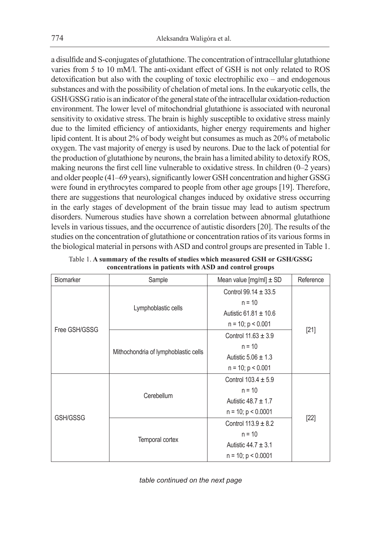a disulfide and S-conjugates of glutathione. The concentration of intracellular glutathione varies from 5 to 10 mM/l. The anti-oxidant effect of GSH is not only related to ROS detoxification but also with the coupling of toxic electrophilic exo – and endogenous substances and with the possibility of chelation of metal ions. In the eukaryotic cells, the GSH/GSSG ratio is an indicator of the general state of the intracellular oxidation-reduction environment. The lower level of mitochondrial glutathione is associated with neuronal sensitivity to oxidative stress. The brain is highly susceptible to oxidative stress mainly due to the limited efficiency of antioxidants, higher energy requirements and higher lipid content. It is about 2% of body weight but consumes as much as 20% of metabolic oxygen. The vast majority of energy is used by neurons. Due to the lack of potential for the production of glutathione by neurons, the brain has a limited ability to detoxify ROS, making neurons the first cell line vulnerable to oxidative stress. In children (0–2 years) and older people (41–69 years), significantly lower GSH concentration and higher GSSG were found in erythrocytes compared to people from other age groups [19]. Therefore, there are suggestions that neurological changes induced by oxidative stress occurring in the early stages of development of the brain tissue may lead to autism spectrum disorders. Numerous studies have shown a correlation between abnormal glutathione levels in various tissues, and the occurrence of autistic disorders [20]. The results of the studies on the concentration of glutathione or concentration ratios of its various forms in the biological material in persons with ASD and control groups are presented in Table 1.

| <b>Biomarker</b> | Sample                               | Mean value [mg/ml] $\pm$ SD | Reference |
|------------------|--------------------------------------|-----------------------------|-----------|
| Free GSH/GSSG    | Lymphoblastic cells                  | Control 99.14 $\pm$ 33.5    | $[21]$    |
|                  |                                      | $n = 10$                    |           |
|                  |                                      | Autistic 61.81 $\pm$ 10.6   |           |
|                  |                                      | $n = 10$ ; $p < 0.001$      |           |
|                  | Mithochondria of lymphoblastic cells | Control $11.63 \pm 3.9$     |           |
|                  |                                      | $n = 10$                    |           |
|                  |                                      | Autistic $5.06 \pm 1.3$     |           |
|                  |                                      | $n = 10$ ; $p < 0.001$      |           |
| GSH/GSSG         | Cerebellum                           | Control $103.4 \pm 5.9$     | $[22]$    |
|                  |                                      | $n = 10$                    |           |
|                  |                                      | Autistic $48.7 \pm 1.7$     |           |
|                  |                                      | $n = 10$ ; $p < 0.0001$     |           |
|                  | Temporal cortex                      | Control $113.9 \pm 8.2$     |           |
|                  |                                      | $n = 10$                    |           |
|                  |                                      | Autistic $44.7 \pm 3.1$     |           |
|                  |                                      | $n = 10$ ; $p < 0.0001$     |           |

Table 1. **A summary of the results of studies which measured GSH or GSH/GSSG concentrations in patients with ASD and control groups**

*table continued on the next page*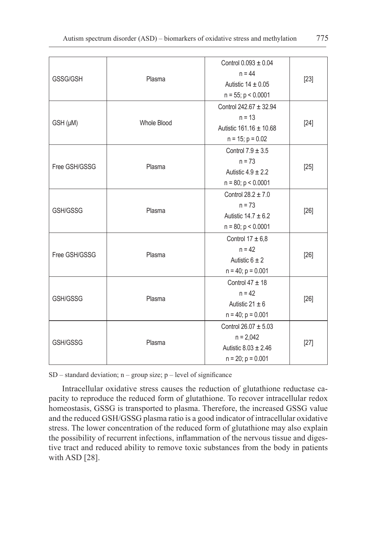| GSSG/GSH      | Plasma             | Control $0.093 \pm 0.04$<br>$n = 44$<br>Autistic $14 \pm 0.05$<br>$n = 55$ ; $p < 0.0001$     | $[23]$ |
|---------------|--------------------|-----------------------------------------------------------------------------------------------|--------|
| GSH (µM)      | <b>Whole Blood</b> | Control 242.67 ± 32.94<br>$n = 13$<br>Autistic $161.16 \pm 10.68$<br>$n = 15$ ; $p = 0.02$    | [24]   |
| Free GSH/GSSG | Plasma             | Control $7.9 \pm 3.5$<br>$n = 73$<br>Autistic $4.9 \pm 2.2$<br>$n = 80$ ; $p < 0.0001$        | $[25]$ |
| GSH/GSSG      | Plasma             | Control $28.2 \pm 7.0$<br>$n = 73$<br>Autistic $14.7 \pm 6.2$<br>$n = 80$ ; $p < 0.0001$      | $[26]$ |
| Free GSH/GSSG | Plasma             | Control $17 \pm 6,8$<br>$n = 42$<br>Autistic $6 \pm 2$<br>$n = 40$ ; $p = 0.001$              | [26]   |
| GSH/GSSG      | Plasma             | Control $47 \pm 18$<br>$n = 42$<br>Autistic 21 $\pm$ 6<br>$n = 40$ ; $p = 0.001$              | [26]   |
| GSH/GSSG      | Plasma             | Control $26.07 \pm 5.03$<br>$n = 2,042$<br>Autistic $8.03 \pm 2.46$<br>$n = 20$ ; $p = 0.001$ | $[27]$ |

 $SD$  – standard deviation; n – group size; p – level of significance

Intracellular oxidative stress causes the reduction of glutathione reductase capacity to reproduce the reduced form of glutathione. To recover intracellular redox homeostasis, GSSG is transported to plasma. Therefore, the increased GSSG value and the reduced GSH/GSSG plasma ratio is a good indicator of intracellular oxidative stress. The lower concentration of the reduced form of glutathione may also explain the possibility of recurrent infections, inflammation of the nervous tissue and digestive tract and reduced ability to remove toxic substances from the body in patients with ASD [28].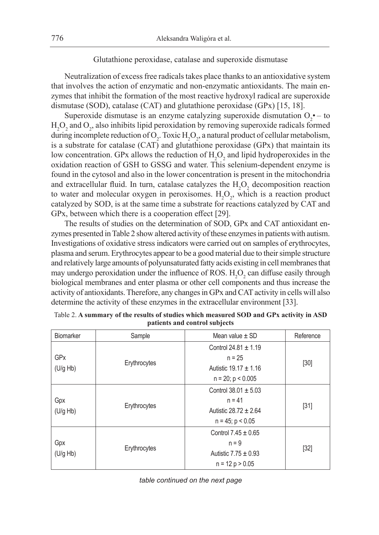## Glutathione peroxidase, catalase and superoxide dismutase

Neutralization of excess free radicals takes place thanks to an antioxidative system that involves the action of enzymatic and non-enzymatic antioxidants. The main enzymes that inhibit the formation of the most reactive hydroxyl radical are superoxide dismutase (SOD), catalase (CAT) and glutathione peroxidase (GPx) [15, 18].

Superoxide dismutase is an enzyme catalyzing superoxide dismutation  $O_2$  - to  $H_2O_2$  and  $O_2$ , also inhibits lipid peroxidation by removing superoxide radicals formed during incomplete reduction of O<sub>2</sub>. Toxic  $H_2O_2$ , a natural product of cellular metabolism, is a substrate for catalase (CAT) and glutathione peroxidase (GPx) that maintain its low concentration. GPx allows the reduction of  $H_2O_2$  and lipid hydroperoxides in the oxidation reaction of GSH to GSSG and water. This selenium-dependent enzyme is found in the cytosol and also in the lower concentration is present in the mitochondria and extracellular fluid. In turn, catalase catalyzes the  $H_2O_2$  decomposition reaction to water and molecular oxygen in peroxisomes.  $H_2O_2$ , which is a reaction product catalyzed by SOD, is at the same time a substrate for reactions catalyzed by CAT and GPx, between which there is a cooperation effect [29].

The results of studies on the determination of SOD, GPx and CAT antioxidant enzymes presented in Table 2 show altered activity of these enzymes in patients with autism. Investigations of oxidative stress indicators were carried out on samples of erythrocytes, plasma and serum. Erythrocytes appear to be a good material due to their simple structure and relatively large amounts of polyunsaturated fatty acids existing in cell membranes that may undergo peroxidation under the influence of ROS.  $H_2O_2$  can diffuse easily through biological membranes and enter plasma or other cell components and thus increase the activity of antioxidants. Therefore, any changes in GPx and CAT activity in cells will also determine the activity of these enzymes in the extracellular environment [33].

| <b>Biomarker</b>                  | Sample       | Mean value $\pm$ SD                                                                         | Reference |
|-----------------------------------|--------------|---------------------------------------------------------------------------------------------|-----------|
| <b>GP<sub>x</sub></b><br>(U/g Hb) | Erythrocytes | Control 24.81 $\pm$ 1.19<br>$n = 25$<br>Autistic $19.17 \pm 1.16$<br>$n = 20$ ; $p < 0.005$ | $[30]$    |
| Gpx<br>(U/g Hb)                   | Erythrocytes | Control $38.01 \pm 5.03$<br>$n = 41$<br>Autistic $28.72 \pm 2.64$<br>$n = 45$ ; $p < 0.05$  | $[31]$    |
| Gpx<br>(U/g Hb)                   | Erythrocytes | Control $7.45 \pm 0.65$<br>$n = 9$<br>Autistic $7.75 \pm 0.93$<br>$n = 12 p > 0.05$         | $[32]$    |

Table 2. **A summary of the results of studies which measured SOD and GPx activity in ASD patients and control subjects**

*table continued on the next page*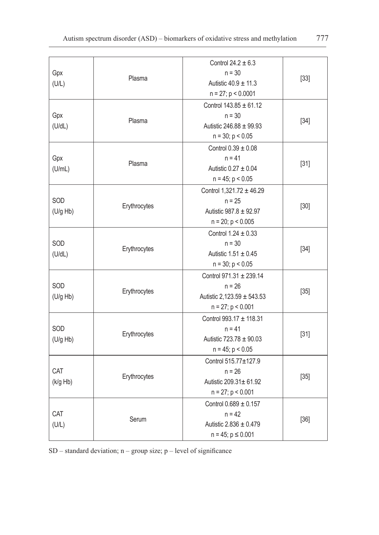| Gpx<br>(U/L)    | Plasma       | Control $24.2 \pm 6.3$<br>$n = 30$<br>Autistic $40.9 \pm 11.3$<br>$n = 27$ ; $p < 0.0001$      | $[33]$ |
|-----------------|--------------|------------------------------------------------------------------------------------------------|--------|
| Gpx<br>(U/dL)   | Plasma       | Control $143.85 \pm 61.12$<br>$n = 30$<br>Autistic 246.88 $\pm$ 99.93<br>$n = 30$ ; $p < 0.05$ | $[34]$ |
| Gpx<br>(U/mL)   | Plasma       | Control $0.39 \pm 0.08$<br>$n = 41$<br>Autistic $0.27 \pm 0.04$<br>$n = 45$ ; $p < 0.05$       | $[31]$ |
| SOD<br>(U/g Hb) | Erythrocytes | Control 1,321.72 ± 46.29<br>$n = 25$<br>Autistic 987.8 ± 92.97<br>$n = 20$ ; $p < 0.005$       | $[30]$ |
| SOD<br>(U/dL)   | Erythrocytes | Control $1.24 \pm 0.33$<br>$n = 30$<br>Autistic $1.51 \pm 0.45$<br>$n = 30$ ; $p < 0.05$       | $[34]$ |
| SOD<br>(U/g Hb) | Erythrocytes | Control 971.31 ± 239.14<br>$n = 26$<br>Autistic 2,123.59 ± 543.53<br>$n = 27$ ; $p < 0.001$    | $[35]$ |
| SOD<br>(U/g Hb) | Erythrocytes | Control 993.17 ± 118.31<br>$n = 41$<br>Autistic $723.78 \pm 90.03$<br>$n = 45$ ; $p < 0.05$    | $[31]$ |
| CAT<br>(k/g Hb) | Erythrocytes | Control 515.77±127.9<br>$n = 26$<br>Autistic 209.31± 61.92<br>$n = 27$ ; $p < 0.001$           | $[35]$ |
| CAT<br>(U/L)    | Serum        | Control 0.689 ± 0.157<br>$n = 42$<br>Autistic 2.836 ± 0.479<br>$n = 45$ ; $p \le 0.001$        | $[36]$ |

SD – standard deviation; n – group size; p – level of significance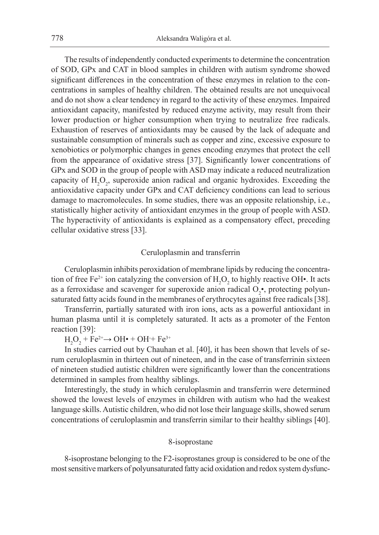The results of independently conducted experiments to determine the concentration of SOD, GPx and CAT in blood samples in children with autism syndrome showed significant differences in the concentration of these enzymes in relation to the concentrations in samples of healthy children. The obtained results are not unequivocal and do not show a clear tendency in regard to the activity of these enzymes. Impaired antioxidant capacity, manifested by reduced enzyme activity, may result from their lower production or higher consumption when trying to neutralize free radicals. Exhaustion of reserves of antioxidants may be caused by the lack of adequate and sustainable consumption of minerals such as copper and zinc, excessive exposure to xenobiotics or polymorphic changes in genes encoding enzymes that protect the cell from the appearance of oxidative stress [37]. Significantly lower concentrations of GPx and SOD in the group of people with ASD may indicate a reduced neutralization capacity of  $H_2O_2$ , superoxide anion radical and organic hydroxides. Exceeding the antioxidative capacity under GPx and CAT deficiency conditions can lead to serious damage to macromolecules. In some studies, there was an opposite relationship, i.e., statistically higher activity of antioxidant enzymes in the group of people with ASD. The hyperactivity of antioxidants is explained as a compensatory effect, preceding cellular oxidative stress [33].

## Ceruloplasmin and transferrin

Ceruloplasmin inhibits peroxidation of membrane lipids by reducing the concentration of free Fe<sup>2+</sup> ion catalyzing the conversion of  $H_2O_2$  to highly reactive OH•. It acts as a ferroxidase and scavenger for superoxide anion radical  $O_2$ <sup>\*</sup>, protecting polyunsaturated fatty acids found in the membranes of erythrocytes against free radicals [38].

Transferrin, partially saturated with iron ions, acts as a powerful antioxidant in human plasma until it is completely saturated. It acts as a promoter of the Fenton reaction [39]:

 $H_2O_2$  + Fe<sup>2+</sup> → OH• + OH + Fe<sup>3+</sup>

In studies carried out by Chauhan et al. [40], it has been shown that levels of serum ceruloplasmin in thirteen out of nineteen, and in the case of transferrinin sixteen of nineteen studied autistic children were significantly lower than the concentrations determined in samples from healthy siblings.

Interestingly, the study in which ceruloplasmin and transferrin were determined showed the lowest levels of enzymes in children with autism who had the weakest language skills. Autistic children, who did not lose their language skills, showed serum concentrations of ceruloplasmin and transferrin similar to their healthy siblings [40].

## 8-isoprostane

8-isoprostane belonging to the F2-isoprostanes group is considered to be one of the most sensitive markers of polyunsaturated fatty acid oxidation and redox system dysfunc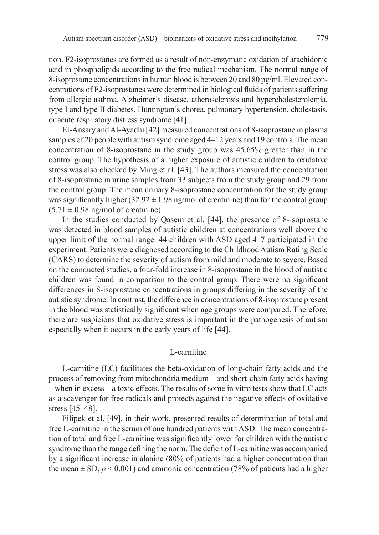tion. F2-isoprostanes are formed as a result of non-enzymatic oxidation of arachidonic acid in phospholipids according to the free radical mechanism. The normal range of 8-isoprostane concentrations in human blood is between 20 and 80 pg/ml. Elevated concentrations of F2-isoprostanes were determined in biological fluids of patients suffering from allergic asthma, Alzheimer's disease, atherosclerosis and hypercholesterolemia, type I and type II diabetes, Huntington's chorea, pulmonary hypertension, cholestasis, or acute respiratory distress syndrome [41].

El-Ansary and Al-Ayadhi [42] measured concentrations of 8-isoprostane in plasma samples of 20 people with autism syndrome aged 4–12 years and 19 controls. The mean concentration of 8-isoprostane in the study group was 45.65% greater than in the control group. The hypothesis of a higher exposure of autistic children to oxidative stress was also checked by Ming et al. [43]. The authors measured the concentration of 8-isoprostane in urine samples from 33 subjects from the study group and 29 from the control group. The mean urinary 8-isoprostane concentration for the study group was significantly higher  $(32.92 \pm 1.98 \text{ ng/mol of creation})$  than for the control group  $(5.71 \pm 0.98$  ng/mol of creatinine).

In the studies conducted by Qasem et al. [44], the presence of 8-isoprostane was detected in blood samples of autistic children at concentrations well above the upper limit of the normal range. 44 children with ASD aged 4–7 participated in the experiment. Patients were diagnosed according to the Childhood Autism Rating Scale (CARS) to determine the severity of autism from mild and moderate to severe. Based on the conducted studies, a four-fold increase in 8-isoprostane in the blood of autistic children was found in comparison to the control group. There were no significant differences in 8-isoprostane concentrations in groups differing in the severity of the autistic syndrome. In contrast, the difference in concentrations of 8-isoprostane present in the blood was statistically significant when age groups were compared. Therefore, there are suspicions that oxidative stress is important in the pathogenesis of autism especially when it occurs in the early years of life [44].

# L-carnitine

L-carnitine (LC) facilitates the beta-oxidation of long-chain fatty acids and the process of removing from mitochondria medium – and short-chain fatty acids having – when in excess – a toxic effects. The results of some in vitro tests show that LC acts as a scavenger for free radicals and protects against the negative effects of oxidative stress [45–48].

Filipek et al. [49], in their work, presented results of determination of total and free L-carnitine in the serum of one hundred patients with ASD. The mean concentration of total and free L-carnitine was significantly lower for children with the autistic syndrome than the range defining the norm. The deficit of L-carnitine was accompanied by a significant increase in alanine (80% of patients had a higher concentration than the mean  $\pm$  SD,  $p$  < 0.001) and ammonia concentration (78% of patients had a higher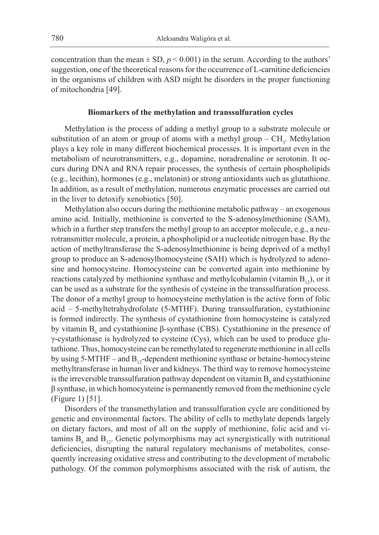concentration than the mean  $\pm$  SD,  $p$  < 0.001) in the serum. According to the authors' suggestion, one of the theoretical reasons for the occurrence of L-carnitine deficiencies in the organisms of children with ASD might be disorders in the proper functioning of mitochondria [49].

#### **Biomarkers of the methylation and transsulfuration cycles**

Methylation is the process of adding a methyl group to a substrate molecule or substitution of an atom or group of atoms with a methyl group  $-CH_3$ . Methylation plays a key role in many different biochemical processes. It is important even in the metabolism of neurotransmitters, e.g., dopamine, noradrenaline or serotonin. It occurs during DNA and RNA repair processes, the synthesis of certain phospholipids (e.g., lecithin), hormones (e.g., melatonin) or strong antioxidants such as glutathione. In addition, as a result of methylation, numerous enzymatic processes are carried out in the liver to detoxify xenobiotics [50].

Methylation also occurs during the methionine metabolic pathway – an exogenous amino acid. Initially, methionine is converted to the S-adenosylmethionine (SAM), which in a further step transfers the methyl group to an acceptor molecule, e.g., a neurotransmitter molecule, a protein, a phospholipid or a nucleotide nitrogen base. By the action of methyltransferase the S-adenosylmethionine is being deprived of a methyl group to produce an S-adenosylhomocysteine (SAH) which is hydrolyzed to adenosine and homocysteine. Homocysteine can be converted again into methionine by reactions catalyzed by methionine synthase and methylcobalamin (vitamin  $B_{12}$ ), or it can be used as a substrate for the synthesis of cysteine in the transsulfuration process. The donor of a methyl group to homocysteine methylation is the active form of folic acid – 5-methyltetrahydrofolate (5-MTHF). During transsulfuration, cystathionine is formed indirectly. The synthesis of cystathionine from homocysteine is catalyzed by vitamin  $B_6$  and cystathionine  $\beta$ -synthase (CBS). Cystathionine in the presence of γ-cystathionase is hydrolyzed to cysteine (Cys), which can be used to produce glutathione. Thus, homocysteine can be remethylated to regenerate methionine in all cells by using 5-MTHF – and  $B_{12}$ -dependent methionine synthase or betaine-homocysteine methyltransferase in human liver and kidneys. The third way to remove homocysteine is the irreversible transsulfuration pathway dependent on vitamin  $B_6$  and cystathionine β synthase, in which homocysteine is permanently removed from the methionine cycle (Figure 1) [51].

Disorders of the transmethylation and transsulfuration cycle are conditioned by genetic and environmental factors. The ability of cells to methylate depends largely on dietary factors, and most of all on the supply of methionine, folic acid and vitamins  $B_6$  and  $B_{12}$ . Genetic polymorphisms may act synergistically with nutritional deficiencies, disrupting the natural regulatory mechanisms of metabolites, consequently increasing oxidative stress and contributing to the development of metabolic pathology. Of the common polymorphisms associated with the risk of autism, the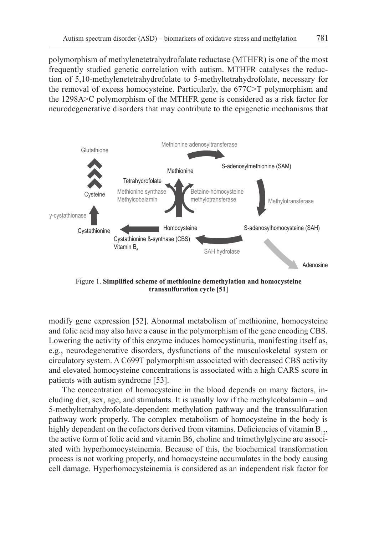polymorphism of methylenetetrahydrofolate reductase (MTHFR) is one of the most frequently studied genetic correlation with autism. MTHFR catalyses the reduction of 5,10-methylenetetrahydrofolate to 5-methyltetrahydrofolate, necessary for the removal of excess homocysteine. Particularly, the 677C>T polymorphism and the 1298A>C polymorphism of the MTHFR gene is considered as a risk factor for neurodegenerative disorders that may contribute to the epigenetic mechanisms that



Figure 1. **Simplified scheme of methionine demethylation and homocysteine transsulfuration cycle [51]**

modify gene expression [52]. Abnormal metabolism of methionine, homocysteine and folic acid may also have a cause in the polymorphism of the gene encoding CBS. Lowering the activity of this enzyme induces homocystinuria, manifesting itself as, e.g., neurodegenerative disorders, dysfunctions of the musculoskeletal system or circulatory system. A C699T polymorphism associated with decreased CBS activity and elevated homocysteine concentrations is associated with a high CARS score in patients with autism syndrome [53].

The concentration of homocysteine in the blood depends on many factors, including diet, sex, age, and stimulants. It is usually low if the methylcobalamin – and 5-methyltetrahydrofolate-dependent methylation pathway and the transsulfuration pathway work properly. The complex metabolism of homocysteine in the body is highly dependent on the cofactors derived from vitamins. Deficiencies of vitamin  $B_{12}$ , the active form of folic acid and vitamin B6, choline and trimethylglycine are associated with hyperhomocysteinemia. Because of this, the biochemical transformation process is not working properly, and homocysteine accumulates in the body causing cell damage. Hyperhomocysteinemia is considered as an independent risk factor for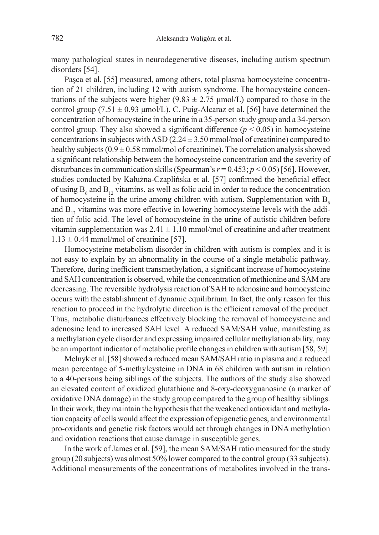many pathological states in neurodegenerative diseases, including autism spectrum disorders [54].

Paşca et al. [55] measured, among others, total plasma homocysteine concentration of 21 children, including 12 with autism syndrome. The homocysteine concentrations of the subjects were higher (9.83  $\pm$  2.75 µmol/L) compared to those in the control group (7.51  $\pm$  0.93  $\mu$ mol/L). C. Puig-Alcaraz et al. [56] have determined the concentration of homocysteine in the urine in a 35-person study group and a 34-person control group. They also showed a significant difference  $(p < 0.05)$  in homocysteine concentrations in subjects with ASD  $(2.24 \pm 3.50 \text{ mmol/mol of creationine})$  compared to healthy subjects  $(0.9 \pm 0.58 \text{ mmol/mol of creation})$ . The correlation analysis showed a significant relationship between the homocysteine concentration and the severity of disturbances in communication skills (Spearman's  $r = 0.453$ ;  $p \le 0.05$ ) [56]. However, studies conducted by Kałużna-Czaplińska et al. [57] confirmed the beneficial effect of using  $B_6$  and  $B_{12}$  vitamins, as well as folic acid in order to reduce the concentration of homocysteine in the urine among children with autism. Supplementation with  $B<sub>c</sub>$ and  $B_{12}$  vitamins was more effective in lowering homocysteine levels with the addition of folic acid. The level of homocysteine in the urine of autistic children before vitamin supplementation was  $2.41 \pm 1.10$  mmol/mol of creatinine and after treatment  $1.13 \pm 0.44$  mmol/mol of creatinine [57].

Homocysteine metabolism disorder in children with autism is complex and it is not easy to explain by an abnormality in the course of a single metabolic pathway. Therefore, during inefficient transmethylation, a significant increase of homocysteine and SAH concentration is observed, while the concentration of methionine and SAM are decreasing. The reversible hydrolysis reaction of SAH to adenosine and homocysteine occurs with the establishment of dynamic equilibrium. In fact, the only reason for this reaction to proceed in the hydrolytic direction is the efficient removal of the product. Thus, metabolic disturbances effectively blocking the removal of homocysteine and adenosine lead to increased SAH level. A reduced SAM/SAH value, manifesting as a methylation cycle disorder and expressing impaired cellular methylation ability, may be an important indicator of metabolic profile changes in children with autism [58, 59].

Melnyk et al. [58] showed a reduced mean SAM/SAH ratio in plasma and a reduced mean percentage of 5-methylcysteine in DNA in 68 children with autism in relation to a 40-persons being siblings of the subjects. The authors of the study also showed an elevated content of oxidized glutathione and 8-oxy-deoxyguanosine (a marker of oxidative DNA damage) in the study group compared to the group of healthy siblings. In their work, they maintain the hypothesis that the weakened antioxidant and methylation capacity of cells would affect the expression of epigenetic genes, and environmental pro-oxidants and genetic risk factors would act through changes in DNA methylation and oxidation reactions that cause damage in susceptible genes.

In the work of James et al. [59], the mean SAM/SAH ratio measured for the study group (20 subjects) was almost 50% lower compared to the control group (33 subjects). Additional measurements of the concentrations of metabolites involved in the trans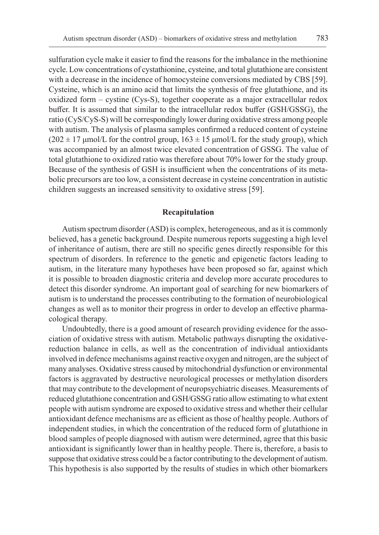sulfuration cycle make it easier to find the reasons for the imbalance in the methionine cycle. Low concentrations of cystathionine, cysteine, and total glutathione are consistent with a decrease in the incidence of homocysteine conversions mediated by CBS [59]. Cysteine, which is an amino acid that limits the synthesis of free glutathione, and its oxidized form – cystine (Cys-S), together cooperate as a major extracellular redox buffer. It is assumed that similar to the intracellular redox buffer (GSH/GSSG), the ratio (CyS/CyS-S) will be correspondingly lower during oxidative stress among people with autism. The analysis of plasma samples confirmed a reduced content of cysteine  $(202 \pm 17 \,\mu\text{mol/L}$  for the control group,  $163 \pm 15 \,\mu\text{mol/L}$  for the study group), which was accompanied by an almost twice elevated concentration of GSSG. The value of total glutathione to oxidized ratio was therefore about 70% lower for the study group. Because of the synthesis of GSH is insufficient when the concentrations of its metabolic precursors are too low, a consistent decrease in cysteine concentration in autistic children suggests an increased sensitivity to oxidative stress [59].

#### **Recapitulation**

Autism spectrum disorder (ASD) is complex, heterogeneous, and as it is commonly believed, has a genetic background. Despite numerous reports suggesting a high level of inheritance of autism, there are still no specific genes directly responsible for this spectrum of disorders. In reference to the genetic and epigenetic factors leading to autism, in the literature many hypotheses have been proposed so far, against which it is possible to broaden diagnostic criteria and develop more accurate procedures to detect this disorder syndrome. An important goal of searching for new biomarkers of autism is to understand the processes contributing to the formation of neurobiological changes as well as to monitor their progress in order to develop an effective pharmacological therapy.

Undoubtedly, there is a good amount of research providing evidence for the association of oxidative stress with autism. Metabolic pathways disrupting the oxidativereduction balance in cells, as well as the concentration of individual antioxidants involved in defence mechanisms against reactive oxygen and nitrogen, are the subject of many analyses. Oxidative stress caused by mitochondrial dysfunction or environmental factors is aggravated by destructive neurological processes or methylation disorders that may contribute to the development of neuropsychiatric diseases. Measurements of reduced glutathione concentration and GSH/GSSG ratio allow estimating to what extent people with autism syndrome are exposed to oxidative stress and whether their cellular antioxidant defence mechanisms are as efficient as those of healthy people. Authors of independent studies, in which the concentration of the reduced form of glutathione in blood samples of people diagnosed with autism were determined, agree that this basic antioxidant is significantly lower than in healthy people. There is, therefore, a basis to suppose that oxidative stress could be a factor contributing to the development of autism. This hypothesis is also supported by the results of studies in which other biomarkers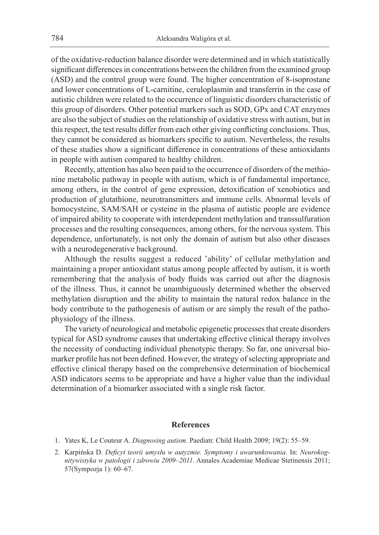of the oxidative-reduction balance disorder were determined and in which statistically significant differences in concentrations between the children from the examined group (ASD) and the control group were found. The higher concentration of 8-isoprostane and lower concentrations of L-carnitine, ceruloplasmin and transferrin in the case of autistic children were related to the occurrence of linguistic disorders characteristic of this group of disorders. Other potential markers such as SOD, GPx and CAT enzymes are also the subject of studies on the relationship of oxidative stress with autism, but in this respect, the test results differ from each other giving conflicting conclusions. Thus, they cannot be considered as biomarkers specific to autism. Nevertheless, the results of these studies show a significant difference in concentrations of these antioxidants in people with autism compared to healthy children.

Recently, attention has also been paid to the occurrence of disorders of the methionine metabolic pathway in people with autism, which is of fundamental importance, among others, in the control of gene expression, detoxification of xenobiotics and production of glutathione, neurotransmitters and immune cells. Abnormal levels of homocysteine, SAM/SAH or cysteine in the plasma of autistic people are evidence of impaired ability to cooperate with interdependent methylation and transsulfuration processes and the resulting consequences, among others, for the nervous system. This dependence, unfortunately, is not only the domain of autism but also other diseases with a neurodegenerative background.

Although the results suggest a reduced 'ability' of cellular methylation and maintaining a proper antioxidant status among people affected by autism, it is worth remembering that the analysis of body fluids was carried out after the diagnosis of the illness. Thus, it cannot be unambiguously determined whether the observed methylation disruption and the ability to maintain the natural redox balance in the body contribute to the pathogenesis of autism or are simply the result of the pathophysiology of the illness.

The variety of neurological and metabolic epigenetic processes that create disorders typical for ASD syndrome causes that undertaking effective clinical therapy involves the necessity of conducting individual phenotypic therapy. So far, one universal biomarker profile has not been defined. However, the strategy of selecting appropriate and effective clinical therapy based on the comprehensive determination of biochemical ASD indicators seems to be appropriate and have a higher value than the individual determination of a biomarker associated with a single risk factor.

## **References**

- 1. Yates K, Le Couteur A. *Diagnosing autism*. Paediatr. Child Health 2009; 19(2): 55–59.
- 2. Karpińska D. *Deficyt teorii umysłu w autyzmie. Symptomy i uwarunkowania*. In: *Neurokognitywistyka w patologii i zdrowiu 2009–2011*. Annales Academiae Medicae Stetinensis 2011; 57(Sympozja 1): 60–67.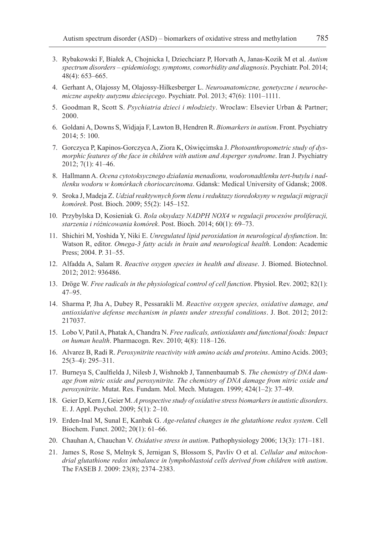- 3. Rybakowski F, Białek A, Chojnicka I, Dziechciarz P, Horvath A, Janas-Kozik M et al. *Autism spectrum disorders – epidemiology, symptoms, comorbidity and diagnosis*. Psychiatr. Pol. 2014; 48(4): 653–665.
- 4. Gerhant A, Olajossy M, Olajossy-Hilkesberger L. *Neuroanatomiczne, genetyczne i neurochemiczne aspekty autyzmu dziecięcego*. Psychiatr. Pol. 2013; 47(6): 1101–1111.
- 5. Goodman R, Scott S. *Psychiatria dzieci i młodzieży*. Wroclaw: Elsevier Urban & Partner; 2000.
- 6. Goldani A, Downs S, Widjaja F, Lawton B, Hendren R. *Biomarkers in autism*. Front. Psychiatry 2014; 5: 100.
- 7. Gorczyca P, Kapinos-Gorczyca A, Ziora K, Oświęcimska J. *Photoanthropometric study of dysmorphic features of the face in children with autism and Asperger syndrome*. Iran J. Psychiatry 2012; 7(1): 41–46.
- 8. Hallmann A. *Ocena cytotoksycznego działania menadionu, wodoronadtlenku tert-butylu i nadtlenku wodoru w komórkach choriocarcinoma*. Gdansk: Medical University of Gdansk; 2008.
- 9. Sroka J, Madeja Z. *Udział reaktywnych form tlenu i reduktazy tioredoksyny w regulacji migracji komórek*. Post. Bioch. 2009; 55(2): 145–152.
- 10. Przybylska D, Kosieniak G. *Rola oksydazy NADPH NOX4 w regulacji procesów proliferacji, starzenia i różnicowania komórek*. Post. Bioch. 2014; 60(1): 69–73.
- 11. Shichiri M, Yoshida Y, Niki E. *Unregulated lipid peroxidation in neurological dysfunction*. In: Watson R, editor. *Omega-3 fatty acids in brain and neurological health*. London: Academic Press; 2004. P. 31–55.
- 12. Alfadda A, Salam R. *Reactive oxygen species in health and disease*. J. Biomed. Biotechnol. 2012; 2012: 936486.
- 13. Dröge W. *Free radicals in the physiological control of cell function*. Physiol. Rev. 2002; 82(1): 47–95.
- 14. Sharma P, Jha A, Dubey R, Pessarakli M. *Reactive oxygen species, oxidative damage, and antioxidative defense mechanism in plants under stressful conditions*. J. Bot. 2012; 2012: 217037.
- 15. Lobo V, Patil A, Phatak A, Chandra N. *Free radicals, antioxidants and functional foods: Impact on human health*. Pharmacogn. Rev. 2010; 4(8): 118–126.
- 16. Alvarez B, Radi R. *Peroxynitrite reactivity with amino acids and proteins*. Amino Acids. 2003; 25(3–4): 295–311.
- 17. Burneya S, Caulfielda J, Nilesb J, Wishnokb J, Tannenbaumab S. *The chemistry of DNA damage from nitric oxide and peroxynitrite. The chemistry of DNA damage from nitric oxide and peroxynitrite*. Mutat. Res. Fundam. Mol. Mech. Mutagen. 1999; 424(1–2): 37–49.
- 18. Geier D, Kern J, Geier M. *A prospective study of oxidative stress biomarkers in autistic disorders*. E. J. Appl. Psychol. 2009; 5(1): 2–10.
- 19. Erden-Inal M, Sunal E, Kanbak G. *Age-related changes in the glutathione redox system*. Cell Biochem. Funct. 2002; 20(1): 61–66.
- 20. Chauhan A, Chauchan V. *Oxidative stress in autism*. Pathophysiology 2006; 13(3): 171–181.
- 21. James S, Rose S, Melnyk S, Jernigan S, Blossom S, Pavliv O et al. *Cellular and mitochondrial glutathione redox imbalance in lymphoblastoid cells derived from children with autism*. The FASEB J. 2009: 23(8); 2374–2383.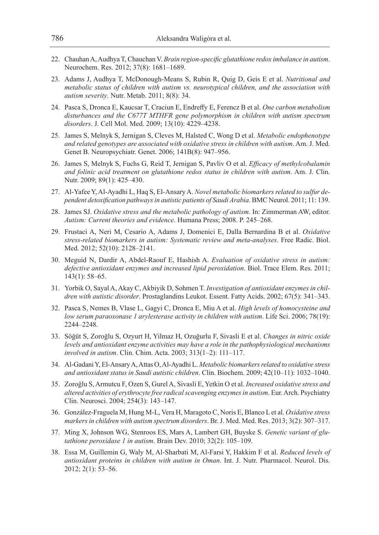- 22. Chauhan A, Audhya T, Chauchan V. *Brain region-specific glutathione redox imbalance in autism*. Neurochem. Res. 2012; 37(8): 1681–1689.
- 23. Adams J, Audhya T, McDonough-Means S, Rubin R, Quig D, Geis E et al. *Nutritional and metabolic status of children with autism vs. neurotypical children, and the association with autism severity*. Nutr. Metab. 2011; 8(8): 34.
- 24. Pasca S, Dronca E, Kaucsar T, Craciun E, Endreffy E, Ferencz B et al. *One carbon metabolism disturbances and the C677T MTHFR gene polymorphism in children with autism spectrum disorders*. J. Cell Mol. Med. 2009; 13(10): 4229–4238.
- 25. James S, Melnyk S, Jernigan S, Cleves M, Halsted C, Wong D et al. *Metabolic endophenotype and related genotypes are associated with oxidative stress in children with autism*. Am. J. Med. Genet B. Neuropsychiatr. Genet. 2006; 141B(8): 947–956.
- 26. James S, Melnyk S, Fuchs G, Reid T, Jernigan S, Pavliv O et al. *Efficacy of methylcobalamin and folinic acid treatment on glutathione redox status in children with autism*. Am. J. Clin. Nutr. 2009; 89(1): 425–430.
- 27. Al-Yafee Y, Al-Ayadhi L, Haq S, El-Ansary A. *Novel metabolic biomarkers related to sulfur dependent detoxification pathways in autistic patients of Saudi Arabia*. BMC Neurol. 2011; 11: 139.
- 28. James SJ. *Oxidative stress and the metabolic pathology of autism*. In: Zimmerman AW, editor. *Autism: Current theories and evidence*. Humana Press; 2008. P. 245–268.
- 29. Frustaci A, Neri M, Cesario A, Adams J, Domenici E, Dalla Bernardina B et al. *Oxidative stress-related biomarkers in autism: Systematic review and meta-analyses*. Free Radic. Biol. Med. 2012; 52(10): 2128–2141.
- 30. Meguid N, Dardir A, Abdel-Raouf E, Hashish A. *Evaluation of oxidative stress in autism: defective antioxidant enzymes and increased lipid peroxidation*. Biol. Trace Elem. Res. 2011; 143(1): 58–65.
- 31. Yorbik O, Sayal A, Akay C, Akbiyik D, Sohmen T. *Investigation of antioxidant enzymes in children with autistic disorder*. Prostaglandins Leukot. Essent. Fatty Acids. 2002; 67(5): 341–343.
- 32. Pasca S, Nemes B, Vlase L, Gagyi C, Dronca E, Miu A et al. *High levels of homocysteine and low serum paraoxonase 1 arylesterase activity in children with autism*. Life Sci. 2006; 78(19): 2244–2248.
- 33. Söğüt S, Zoroğlu S, Ozyurt H, Yilmaz H, Ozuğurlu F, Sivasli E et al. *Changes in nitric oxide levels and antioxidant enzyme activities may have a role in the pathophysiological mechanisms involved in autism*. Clin. Chim. Acta. 2003; 313(1–2): 111–117.
- 34. Al-Gadani Y, El-Ansary A, Attas O, Al-Ayadhi L. *Metabolic biomarkers related to oxidative stress and antioxidant status in Saudi autistic children*. Clin. Biochem. 2009; 42(10–11): 1032–1040.
- 35. Zoroğlu S, Armutcu F, Ozen S, Gurel A, Sivasli E, Yetkin O et al. *Increased oxidative stress and altered activities of erythrocyte free radical scavenging enzymes in autism*. Eur. Arch. Psychiatry Clin. Neurosci. 2004; 254(3): 143–147.
- 36. González-Fraguela M, Hung M-L, Vera H, Maragoto C, Noris E, Blanco L et al. *Oxidative stress markers in children with autism spectrum disorders*. Br. J. Med. Med. Res. 2013; 3(2): 307–317.
- 37. Ming X, Johnson WG, Stenroos ES, Mars A, Lambert GH, Buyske S. *Genetic variant of glutathione peroxidase 1 in autism*. Brain Dev. 2010; 32(2): 105–109.
- 38. Essa M, Guillemin G, Waly M, Al-Sharbati M, Al-Farsi Y, Hakkim F et al. *Reduced levels of antioxidant proteins in children with autism in Oman*. Int. J. Nutr. Pharmacol. Neurol. Dis. 2012; 2(1): 53–56.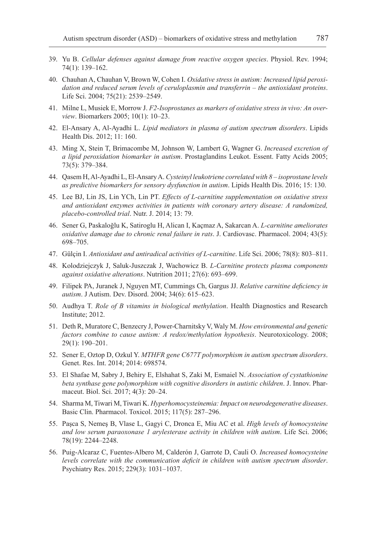- 39. Yu B. *Cellular defenses against damage from reactive oxygen species*. Physiol. Rev. 1994; 74(1): 139–162.
- 40. Chauhan A, Chauhan V, Brown W, Cohen I. *Oxidative stress in autism: Increased lipid peroxidation and reduced serum levels of ceruloplasmin and transferrin – the antioxidant proteins*. Life Sci. 2004; 75(21): 2539–2549.
- 41. Milne L, Musiek E, Morrow J. *F2-Isoprostanes as markers of oxidative stress in vivo: An overview*. Biomarkers 2005; 10(1): 10–23.
- 42. El-Ansary A, Al-Ayadhi L. *Lipid mediators in plasma of autism spectrum disorders*. Lipids Health Dis. 2012; 11: 160.
- 43. Ming X, Stein T, Brimacombe M, Johnson W, Lambert G, Wagner G. *Increased excretion of a lipid peroxidation biomarker in autism*. Prostaglandins Leukot. Essent. Fatty Acids 2005; 73(5): 379–384.
- 44. Qasem H, Al-Ayadhi L, El-Ansary A. *Cysteinyl leukotriene correlated with 8 isoprostane levels as predictive biomarkers for sensory dysfunction in autism*. Lipids Health Dis. 2016; 15: 130.
- 45. Lee BJ, Lin JS, Lin YCh, Lin PT. *Effects of L-carnitine supplementation on oxidative stress and antioxidant enzymes activities in patients with coronary artery disease: A randomized, placebo-controlled trial*. Nutr. J. 2014; 13: 79.
- 46. Sener G, Paskaloğlu K, Satiroglu H, Alican I, Kaçmaz A, Sakarcan A. *L-carnitine ameliorates oxidative damage due to chronic renal failure in rats*. J. Cardiovasc. Pharmacol. 2004; 43(5): 698–705.
- 47. Gülçin I. *Antioxidant and antiradical activities of L-carnitine*. Life Sci. 2006; 78(8): 803–811.
- 48. Kolodziejczyk J, Saluk-Juszczak J, Wachowicz B. *L-Carnitine protects plasma components against oxidative alterations*. Nutrition 2011; 27(6): 693–699.
- 49. Filipek PA, Juranek J, Nguyen MT, Cummings Ch, Gargus JJ. *Relative carnitine deficiency in autism*. J Autism. Dev. Disord. 2004; 34(6): 615–623.
- 50. Audhya T. *Role of B vitamins in biological methylation*. Health Diagnostics and Research Institute; 2012.
- 51. Deth R, Muratore C, Benzecry J, Power-Charnitsky V, Waly M. *How environmental and genetic factors combine to cause autism: A redox/methylation hypothesis*. Neurotoxicology. 2008; 29(1): 190–201.
- 52. Sener E, Oztop D, Ozkul Y. *MTHFR gene C677T polymorphism in autism spectrum disorders*. Genet. Res. Int. 2014; 2014: 698574.
- 53. El Shafae M, Sabry J, Behiry E, Elshahat S, Zaki M, Esmaiel N. *Association of cystathionine beta synthase gene polymorphism with cognitive disorders in autistic children*. J. Innov. Pharmaceut. Biol. Sci. 2017; 4(3): 20–24.
- 54. Sharma M, Tiwari M, Tiwari K. *Hyperhomocysteinemia: Impact on neurodegenerative diseases*. Basic Clin. Pharmacol. Toxicol. 2015; 117(5): 287–296.
- 55. Paşca S, Nemeş B, Vlase L, Gagyi C, Dronca E, Miu AC et al. *High levels of homocysteine and low serum paraoxonase 1 arylesterase activity in children with autism*. Life Sci. 2006; 78(19): 2244–2248.
- 56. Puig-Alcaraz C, Fuentes-Albero M, Calderón J, Garrote D, Cauli O. *Increased homocysteine levels correlate with the communication deficit in children with autism spectrum disorder*. Psychiatry Res. 2015; 229(3): 1031–1037.